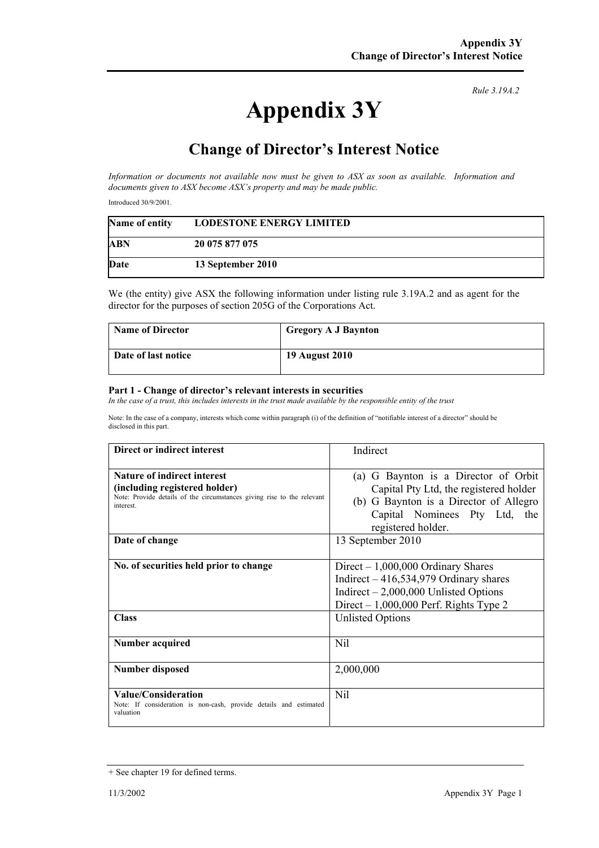## **Appendix 3Y**

*Rule 3.19A.2*

## **Change of Director's Interest Notice**

*Information or documents not available now must be given to ASX as soon as available. Information and documents given to ASX become ASX's property and may be made public.* 

Introduced 30/9/2001.

| Name of entity | <b>LODESTONE ENERGY LIMITED</b> |
|----------------|---------------------------------|
| ABN            | 20 075 877 075                  |
| Date           | 13 September 2010               |

We (the entity) give ASX the following information under listing rule 3.19A.2 and as agent for the director for the purposes of section 205G of the Corporations Act.

| <b>Name of Director</b> | <b>Gregory A J Baynton</b> |
|-------------------------|----------------------------|
| Date of last notice     | 19 August 2010             |

## **Part 1 - Change of director's relevant interests in securities**

In the case of a trust, this includes interests in the trust made available by the responsible entity of the trust

Note: In the case of a company, interests which come within paragraph (i) of the definition of "notifiable interest of a director" should be disclosed in this part.

| Direct or indirect interest                                                                                                                                | Indirect                                                                                                                                                                           |
|------------------------------------------------------------------------------------------------------------------------------------------------------------|------------------------------------------------------------------------------------------------------------------------------------------------------------------------------------|
| <b>Nature of indirect interest</b><br>(including registered holder)<br>Note: Provide details of the circumstances giving rise to the relevant<br>interest. | G Baynton is a Director of Orbit<br>(a)<br>Capital Pty Ltd, the registered holder<br>(b) G Baynton is a Director of Allegro<br>Capital Nominees Pty Ltd, the<br>registered holder. |
| Date of change                                                                                                                                             | 13 September 2010                                                                                                                                                                  |
| No. of securities held prior to change                                                                                                                     | $Direct - 1,000,000$ Ordinary Shares<br>Indirect $-416,534,979$ Ordinary shares<br>Indirect $-2,000,000$ Unlisted Options<br>Direct $-1,000,000$ Perf. Rights Type 2               |
| <b>Class</b>                                                                                                                                               | <b>Unlisted Options</b>                                                                                                                                                            |
| Number acquired                                                                                                                                            | Nil                                                                                                                                                                                |
| <b>Number disposed</b>                                                                                                                                     | 2,000,000                                                                                                                                                                          |
| Value/Consideration<br>Note: If consideration is non-cash, provide details and estimated<br>valuation                                                      | Nil                                                                                                                                                                                |

<sup>+</sup> See chapter 19 for defined terms.